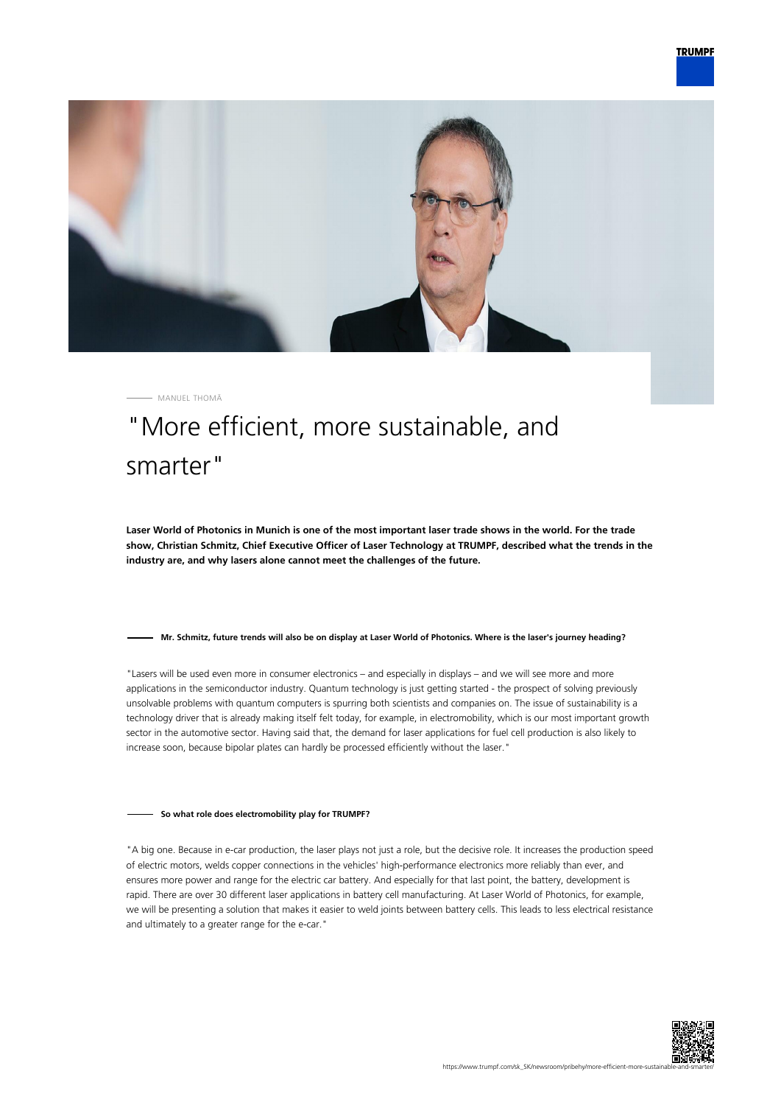



MANUEL THOMÄ

# "More efficient, more sustainable, and smarter"

**Laser World of Photonics in Munich is one of the most important laser trade shows in the world. For the trade show, Christian Schmitz, Chief Executive Officer of Laser Technology at TRUMPF, described what the trends in the industry are, and why lasers alone cannot meet the challenges of the future.**

### **Mr. Schmitz, future trends will also be on display at Laser World of Photonics. Where is the laser's journey heading?**

"Lasers will be used even more in consumer electronics – and especially in displays – and we will see more and more applications in the semiconductor industry. Quantum technology is just getting started - the prospect of solving previously unsolvable problems with quantum computers is spurring both scientists and companies on. The issue of sustainability is a technology driver that is already making itself felt today, for example, in electromobility, which is our most important growth sector in the automotive sector. Having said that, the demand for laser applications for fuel cell production is also likely to increase soon, because bipolar plates can hardly be processed efficiently without the laser."

### **So what role does electromobility play for TRUMPF?**

"A big one. Because in e-car production, the laser plays not just a role, but the decisive role. It increases the production speed of electric motors, welds copper connections in the vehicles' high-performance electronics more reliably than ever, and ensures more power and range for the electric car battery. And especially for that last point, the battery, development is rapid. There are over 30 different laser applications in battery cell manufacturing. At Laser World of Photonics, for example, we will be presenting a solution that makes it easier to weld joints between battery cells. This leads to less electrical resistance and ultimately to a greater range for the e-car."